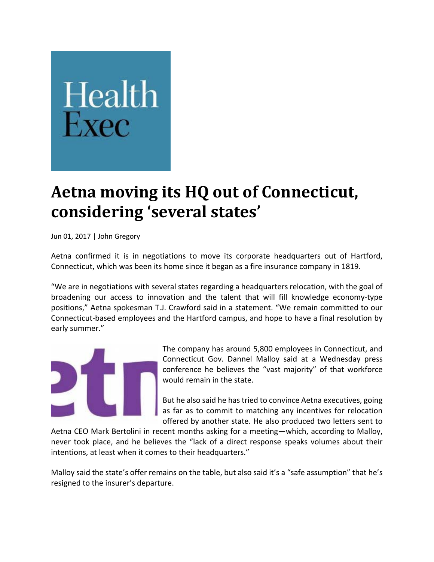## Health

## **Aetna moving its HQ out of Connecticut, considering 'several states'**

Jun 01, 2017 | John Gregory

Aetna confirmed it is in negotiations to move its corporate headquarters out of Hartford, Connecticut, which was been its home since it began as a fire insurance company in 1819.

"We are in negotiations with several states regarding a headquarters relocation, with the goal of broadening our access to innovation and the talent that will fill knowledge economy‐type positions," Aetna spokesman T.J. Crawford said in a statement. "We remain committed to our Connecticut‐based employees and the Hartford campus, and hope to have a final resolution by early summer."



The company has around 5,800 employees in Connecticut, and Connecticut Gov. Dannel Malloy said at a Wednesday press conference he believes the "vast majority" of that workforce would remain in the state.

But he also said he has tried to convince Aetna executives, going as far as to commit to matching any incentives for relocation offered by another state. He also produced two letters sent to

Aetna CEO Mark Bertolini in recent months asking for a meeting—which, according to Malloy, never took place, and he believes the "lack of a direct response speaks volumes about their intentions, at least when it comes to their headquarters."

Malloy said the state's offer remains on the table, but also said it's a "safe assumption" that he's resigned to the insurer's departure.